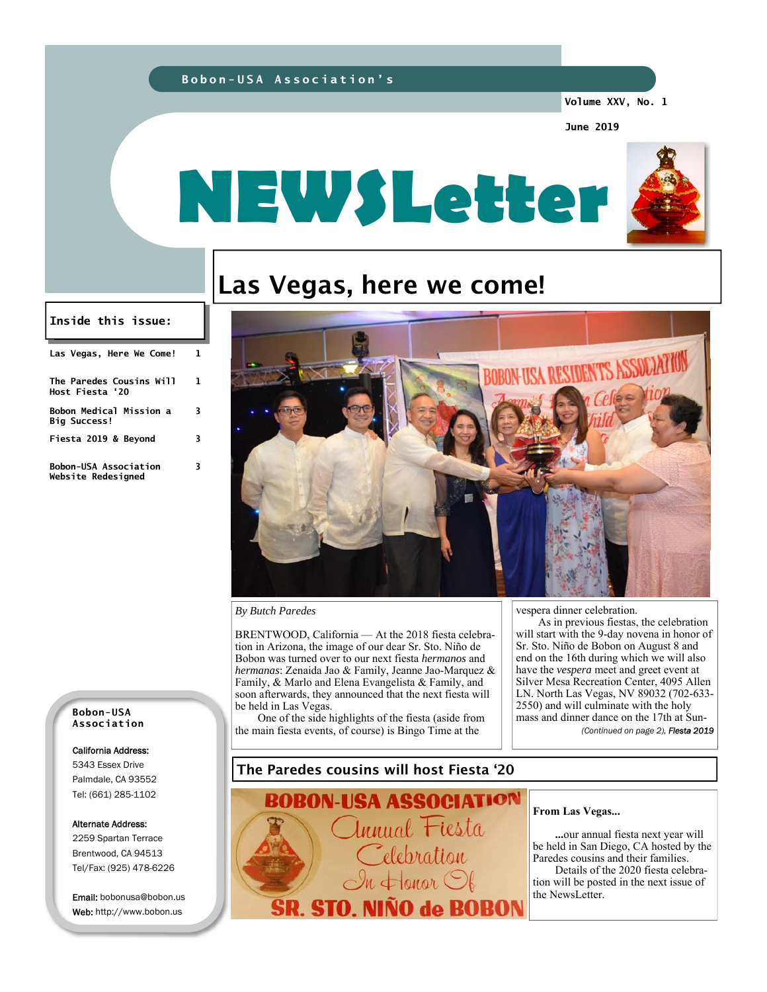### **Bobon-USA Association's**

**Volume XXV, No. 1** 

**June 2019** 



# Las Vegas, here we come!

#### **Inside this issue:**

| Las Vegas, Here We Come!                              |    |
|-------------------------------------------------------|----|
| The Paredes Cousins Will<br>Host Fiesta '20           | 1. |
| <b>Bobon Medical Mission a</b><br><b>Big Success!</b> | 3  |
| Fiesta 2019 & Beyond                                  | 3  |
| <b>Bobon-USA Association</b><br>Website Redesigned    | 3. |



#### *By Butch Paredes*

BRENTWOOD, California — At the 2018 fiesta celebration in Arizona, the image of our dear Sr. Sto. Niño de Bobon was turned over to our next fiesta *hermanos* and *hermanas*: Zenaida Jao & Family, Jeanne Jao-Marquez & Family, & Marlo and Elena Evangelista & Family, and soon afterwards, they announced that the next fiesta will be held in Las Vegas.

One of the side highlights of the fiesta (aside from the main fiesta events, of course) is Bingo Time at the

vespera dinner celebration.

As in previous fiestas, the celebration will start with the 9-day novena in honor of Sr. Sto. Niño de Bobon on August 8 and end on the 16th during which we will also have the *vespera* meet and greet event at Silver Mesa Recreation Center, 4095 Allen LN. North Las Vegas, NV 89032 (702-633- 2550) and will culminate with the holy mass and dinner dance on the 17th at Sun- *(Continued on page 2), Fiesta 2019* 

#### **Bobon-USA Association**

#### California Address:

5343 Essex Drive Palmdale, CA 93552 Tel: (661) 285-1102

#### Alternate Address:

2259 Spartan Terrace Brentwood, CA 94513 Tel/Fax: (925) 478-6226

Email: bobonusa@bobon.us Web: http://www.bobon.us

### The Paredes cousins will host Fiesta '20

-USA ASSOCIATION nnual Fiesta elebration  $\leftarrow$  onor  $\bigcirc$ **SR. STO. N** INO de BOBON

#### **From Las Vegas...**

 **...**our annual fiesta next year will be held in San Diego, CA hosted by the Paredes cousins and their families.

 Details of the 2020 fiesta celebration will be posted in the next issue of the NewsLetter.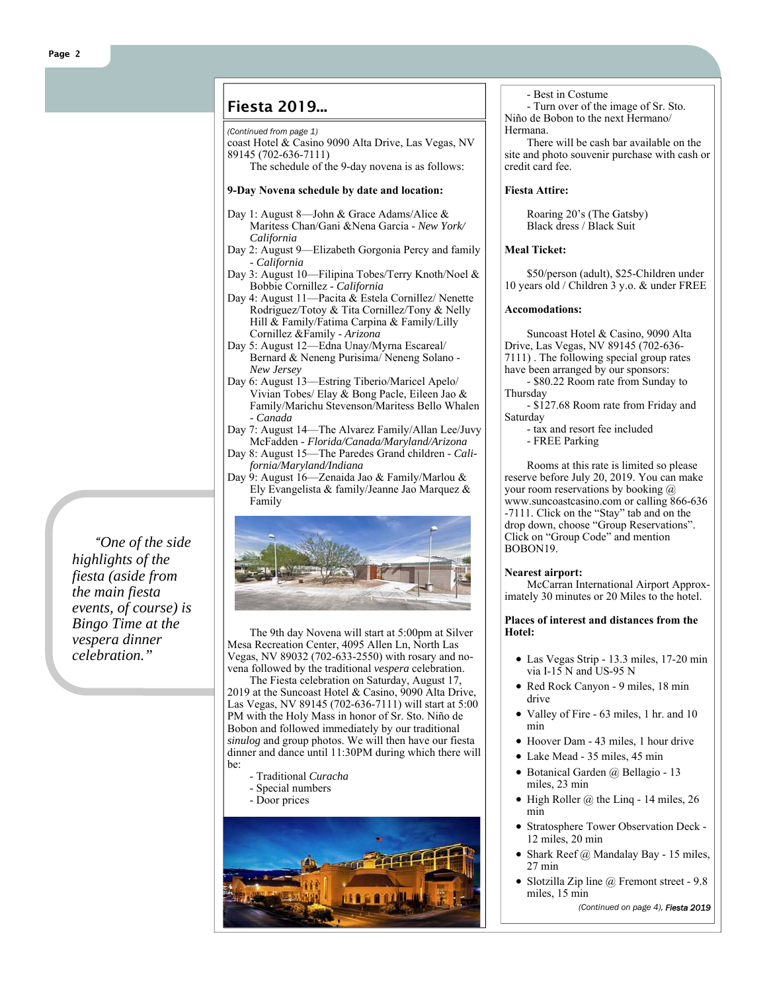### Fiesta 2019...

#### *(Continued from page 1)*

coast Hotel & Casino 9090 Alta Drive, Las Vegas, NV 89145 (702-636-7111)

The schedule of the 9-day novena is as follows:

#### **9-Day Novena schedule by date and location:**

- Day 1: August 8—John & Grace Adams/Alice & Maritess Chan/Gani &Nena Garcia - *New York/ California*
- Day 2: August 9—Elizabeth Gorgonia Percy and family - *California*
- Day 3: August 10—Filipina Tobes/Terry Knoth/Noel & Bobbie Cornillez - *California*
- Day 4: August 11—Pacita & Estela Cornillez/ Nenette Rodriguez/Totoy & Tita Cornillez/Tony & Nelly Hill & Family/Fatima Carpina & Family/Lilly Cornillez &Family - *Arizona*
- Day 5: August 12—Edna Unay/Myrna Escareal/ Bernard & Neneng Purisima/ Neneng Solano - *New Jersey*
- Day 6: August 13—Estring Tiberio/Maricel Apelo/ Vivian Tobes/ Elay  $\&$  Bong Pacle, Eileen Jao  $\&$ Family/Marichu Stevenson/Maritess Bello Whalen - *Canada*
- Day 7: August 14—The Alvarez Family/Allan Lee/Juvy McFadden - *Florida/Canada/Maryland/Arizona*
- Day 8: August 15—The Paredes Grand children *California/Maryland/Indiana*
- Day 9: August 16—Zenaida Jao & Family/Marlou & Ely Evangelista & family/Jeanne Jao Marquez & Family



The 9th day Novena will start at 5:00pm at Silver Mesa Recreation Center, 4095 Allen Ln, North Las Vegas, NV 89032 (702-633-2550) with rosary and novena followed by the traditional *vespera* celebration.

The Fiesta celebration on Saturday, August 17, 2019 at the Suncoast Hotel & Casino, 9090 Alta Drive, Las Vegas, NV 89145 (702-636-7111) will start at 5:00 PM with the Holy Mass in honor of Sr. Sto. Niño de Bobon and followed immediately by our traditional *sinulog* and group photos. We will then have our fiesta dinner and dance until 11:30PM during which there will be:

- Traditional *Curacha*
- Special numbers
- Door prices



- Best in Costume

- Turn over of the image of Sr. Sto. Niño de Bobon to the next Hermano/ Hermana.

There will be cash bar available on the site and photo souvenir purchase with cash or credit card fee.

#### **Fiesta Attire:**

Roaring 20's (The Gatsby) Black dress / Black Suit

#### **Meal Ticket:**

\$50/person (adult), \$25-Children under 10 years old / Children 3 y.o. & under FREE

#### **Accomodations:**

Suncoast Hotel & Casino, 9090 Alta Drive, Las Vegas, NV 89145 (702-636- 7111) . The following special group rates

have been arranged by our sponsors:

- \$80.22 Room rate from Sunday to Thursday

- \$127.68 Room rate from Friday and **Saturday** 

- tax and resort fee included - FREE Parking

Rooms at this rate is limited so please reserve before July 20, 2019. You can make your room reservations by booking @ www.suncoastcasino.com or calling 866-636 -7111. Click on the "Stay" tab and on the drop down, choose "Group Reservations". Click on "Group Code" and mention BOBON19.

#### **Nearest airport:**

McCarran International Airport Approximately 30 minutes or 20 Miles to the hotel.

#### **Places of interest and distances from the Hotel:**

- Las Vegas Strip 13.3 miles, 17-20 min via I-15 N and US-95 N
- Red Rock Canyon 9 miles, 18 min drive
- Valley of Fire 63 miles, 1 hr. and 10 min
- Hoover Dam 43 miles, 1 hour drive
- Lake Mead 35 miles, 45 min
- Botanical Garden @ Bellagio 13 miles, 23 min
- High Roller  $\omega$  the Linq 14 miles, 26 min
- Stratosphere Tower Observation Deck 12 miles, 20 min
- Shark Reef  $\omega$  Mandalay Bay 15 miles, 27 min
- Slotzilla Zip line @ Fremont street 9.8 miles, 15 min

*(Continued on page 4), Fiesta 2019*

*"One of the side highlights of the fiesta (aside from the main fiesta events, of course) is Bingo Time at the vespera dinner celebration."*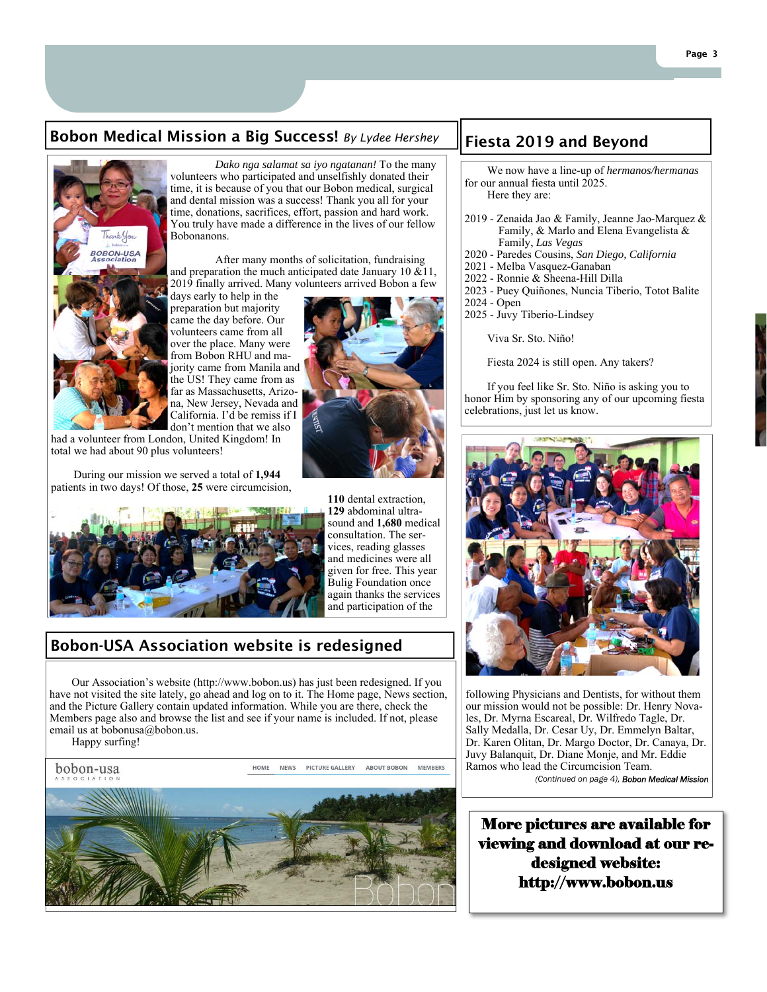### Bobon Medical Mission a Big Success! By Lydee Hershey  $\; \; \|$ Fiesta 2019 and Beyond



*Dako nga salamat sa iyo ngatanan!* To the many volunteers who participated and unselfishly donated their time, it is because of you that our Bobon medical, surgical and dental mission was a success! Thank you all for your time, donations, sacrifices, effort, passion and hard work. You truly have made a difference in the lives of our fellow Bobonanons.

 After many months of solicitation, fundraising and preparation the much anticipated date January 10  $\&$  11, 2019 finally arrived. Many volunteers arrived Bobon a few

days early to help in the preparation but majority came the day before. Our volunteers came from all over the place. Many were from Bobon RHU and majority came from Manila and the US! They came from as far as Massachusetts, Arizona, New Jersey, Nevada and California. I'd be remiss if I don't mention that we also

had a volunteer from London, United Kingdom! In total we had about 90 plus volunteers!

 During our mission we served a total of **1,944**  patients in two days! Of those, **25** were circumcision,



**110** dental extraction, **129** abdominal ultrasound and **1,680** medical consultation. The services, reading glasses and medicines were all given for free. This year Bulig Foundation once again thanks the services and participation of the

### Bobon-USA Association website is redesigned

Our Association's website (http://www.bobon.us) has just been redesigned. If you have not visited the site lately, go ahead and log on to it. The Home page, News section, and the Picture Gallery contain updated information. While you are there, check the Members page also and browse the list and see if your name is included. If not, please email us at bobonusa@bobon.us.

Happy surfing!





 We now have a line-up of *hermanos/hermanas*  for our annual fiesta until 2025. Here they are:

- 2019 Zenaida Jao & Family, Jeanne Jao-Marquez & Family, & Marlo and Elena Evangelista & Family, *Las Vegas*
- 2020 Paredes Cousins, *San Diego, California*
- 2021 Melba Vasquez-Ganaban
- 2022 Ronnie & Sheena-Hill Dilla
- 2023 Puey Quiñones, Nuncia Tiberio, Totot Balite
- 2024 Open
- 2025 Juvy Tiberio-Lindsey

Viva Sr. Sto. Niño!

Fiesta 2024 is still open. Any takers?

 If you feel like Sr. Sto. Niño is asking you to honor Him by sponsoring any of our upcoming fiesta celebrations, just let us know.



following Physicians and Dentists, for without them our mission would not be possible: Dr. Henry Novales, Dr. Myrna Escareal, Dr. Wilfredo Tagle, Dr. Sally Medalla, Dr. Cesar Uy, Dr. Emmelyn Baltar, Dr. Karen Olitan, Dr. Margo Doctor, Dr. Canaya, Dr. Juvy Balanquit, Dr. Diane Monje, and Mr. Eddie Ramos who lead the Circumcision Team. *(Continued on page 4), Bobon Medical Mission*

More pictures are available for viewing and download at our redesigned website: http://www.bobon.us